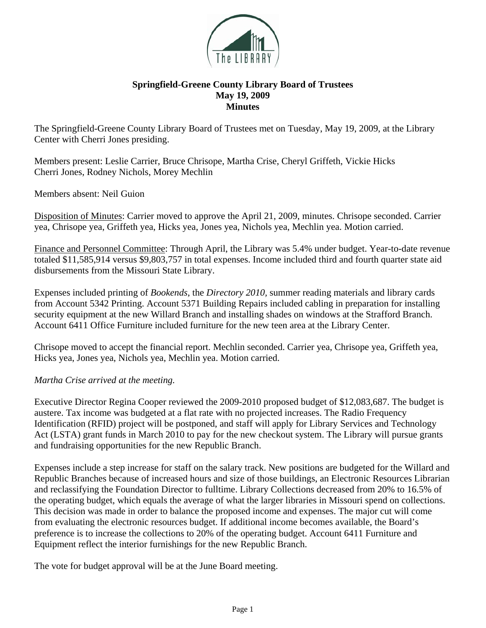

## **Springfield-Greene County Library Board of Trustees May 19, 2009 Minutes**

The Springfield-Greene County Library Board of Trustees met on Tuesday, May 19, 2009, at the Library Center with Cherri Jones presiding.

Members present: Leslie Carrier, Bruce Chrisope, Martha Crise, Cheryl Griffeth, Vickie Hicks Cherri Jones, Rodney Nichols, Morey Mechlin

Members absent: Neil Guion

Disposition of Minutes: Carrier moved to approve the April 21, 2009, minutes. Chrisope seconded. Carrier yea, Chrisope yea, Griffeth yea, Hicks yea, Jones yea, Nichols yea, Mechlin yea. Motion carried.

Finance and Personnel Committee: Through April, the Library was 5.4% under budget. Year-to-date revenue totaled \$11,585,914 versus \$9,803,757 in total expenses. Income included third and fourth quarter state aid disbursements from the Missouri State Library.

Expenses included printing of *Bookends*, the *Directory 2010,* summer reading materials and library cards from Account 5342 Printing. Account 5371 Building Repairs included cabling in preparation for installing security equipment at the new Willard Branch and installing shades on windows at the Strafford Branch. Account 6411 Office Furniture included furniture for the new teen area at the Library Center.

Chrisope moved to accept the financial report. Mechlin seconded. Carrier yea, Chrisope yea, Griffeth yea, Hicks yea, Jones yea, Nichols yea, Mechlin yea. Motion carried.

## *Martha Crise arrived at the meeting.*

Executive Director Regina Cooper reviewed the 2009-2010 proposed budget of \$12,083,687. The budget is austere. Tax income was budgeted at a flat rate with no projected increases. The Radio Frequency Identification (RFID) project will be postponed, and staff will apply for Library Services and Technology Act (LSTA) grant funds in March 2010 to pay for the new checkout system. The Library will pursue grants and fundraising opportunities for the new Republic Branch.

Expenses include a step increase for staff on the salary track. New positions are budgeted for the Willard and Republic Branches because of increased hours and size of those buildings, an Electronic Resources Librarian and reclassifying the Foundation Director to fulltime. Library Collections decreased from 20% to 16.5% of the operating budget, which equals the average of what the larger libraries in Missouri spend on collections. This decision was made in order to balance the proposed income and expenses. The major cut will come from evaluating the electronic resources budget. If additional income becomes available, the Board's preference is to increase the collections to 20% of the operating budget. Account 6411 Furniture and Equipment reflect the interior furnishings for the new Republic Branch.

The vote for budget approval will be at the June Board meeting.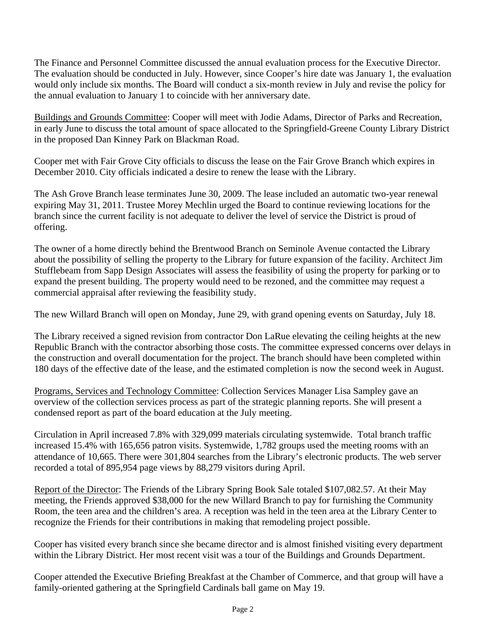The Finance and Personnel Committee discussed the annual evaluation process for the Executive Director. The evaluation should be conducted in July. However, since Cooper's hire date was January 1, the evaluation would only include six months. The Board will conduct a six-month review in July and revise the policy for the annual evaluation to January 1 to coincide with her anniversary date.

Buildings and Grounds Committee: Cooper will meet with Jodie Adams, Director of Parks and Recreation, in early June to discuss the total amount of space allocated to the Springfield-Greene County Library District in the proposed Dan Kinney Park on Blackman Road.

Cooper met with Fair Grove City officials to discuss the lease on the Fair Grove Branch which expires in December 2010. City officials indicated a desire to renew the lease with the Library.

The Ash Grove Branch lease terminates June 30, 2009. The lease included an automatic two-year renewal expiring May 31, 2011. Trustee Morey Mechlin urged the Board to continue reviewing locations for the branch since the current facility is not adequate to deliver the level of service the District is proud of offering.

The owner of a home directly behind the Brentwood Branch on Seminole Avenue contacted the Library about the possibility of selling the property to the Library for future expansion of the facility. Architect Jim Stufflebeam from Sapp Design Associates will assess the feasibility of using the property for parking or to expand the present building. The property would need to be rezoned, and the committee may request a commercial appraisal after reviewing the feasibility study.

The new Willard Branch will open on Monday, June 29, with grand opening events on Saturday, July 18.

The Library received a signed revision from contractor Don LaRue elevating the ceiling heights at the new Republic Branch with the contractor absorbing those costs. The committee expressed concerns over delays in the construction and overall documentation for the project. The branch should have been completed within 180 days of the effective date of the lease, and the estimated completion is now the second week in August.

Programs, Services and Technology Committee: Collection Services Manager Lisa Sampley gave an overview of the collection services process as part of the strategic planning reports. She will present a condensed report as part of the board education at the July meeting.

Circulation in April increased 7.8% with 329,099 materials circulating systemwide. Total branch traffic increased 15.4% with 165,656 patron visits. Systemwide, 1,782 groups used the meeting rooms with an attendance of 10,665. There were 301,804 searches from the Library's electronic products. The web server recorded a total of 895,954 page views by 88,279 visitors during April.

Report of the Director: The Friends of the Library Spring Book Sale totaled \$107,082.57. At their May meeting, the Friends approved \$38,000 for the new Willard Branch to pay for furnishing the Community Room, the teen area and the children's area. A reception was held in the teen area at the Library Center to recognize the Friends for their contributions in making that remodeling project possible.

Cooper has visited every branch since she became director and is almost finished visiting every department within the Library District. Her most recent visit was a tour of the Buildings and Grounds Department.

Cooper attended the Executive Briefing Breakfast at the Chamber of Commerce, and that group will have a family-oriented gathering at the Springfield Cardinals ball game on May 19.